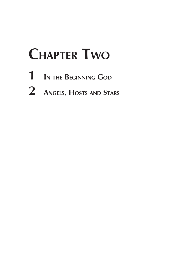# **Chapter Two**

- **1 In the Beginning God**
- **2 Angels, Hosts and Stars**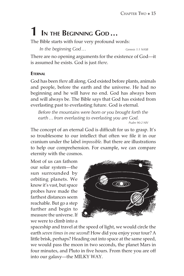### **1 In the Beginning God…**

The Bible starts with four very profound words:

*In the beginning God*… Genesis 1:1 NASB

There are no opening arguments for the existence of God—it is assumed he exists. God is just *there*.

### **ETFRNAL**

God has been *there* all along. God existed before plants, animals and people, before the earth and the universe. He had no beginning and he will have no end. God has always been and will always be. The Bible says that God has existed from everlasting past to everlasting future. God is eternal.

*Before the mountains were born or you brought forth the earth…from everlasting to everlasting you are God. Psalm 90:2 NIV*

The concept of an eternal God is difficult for us to grasp. It's so troublesome to our intellect that often we file it in our cranium under the label *impossible*. But there are illustrations to help our comprehension. For example, we can compare eternity with the cosmos.

Most of us can fathom our solar system—the sun surrounded by orbiting planets. We know it's vast, but space probes have made the farthest distances seem reachable. But go a step further and begin to measure the universe. If we were to climb into a



spaceship and travel at the speed of light, we would circle the earth *seven times in one second*! How did you enjoy your tour? A little brisk, perhaps? Heading out into space at the same speed, we would pass the moon in two seconds, the planet Mars in four minutes, and Pluto in five hours. From there you are off into our galaxy—the MILKY WAY.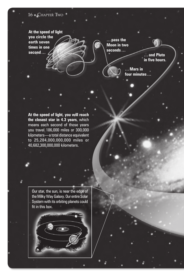**At the speed of light you circle the earth seven times in one second…**

**…pass the Moon in two seconds…**

> **…and Pluto in five hours.**

**…Mars in four minutes…**

**At the speed of light, you will reach the closest star in 4.3 years**, which means each second of those years you travel 186,000 miles or 300,000 kilometers—a total distance equivalent to 25,284,000,000,000 miles or 40,682,300,000,000 kilometers.

Our star, the sun, is near the edge of the Milky Way Galaxy. Our entire Solar System with its orbiting planets could fit in this box.

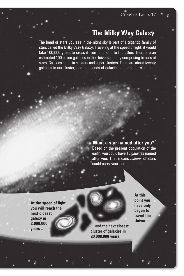### **The Milky Way Galaxy**<sup>1</sup>

The band of stars you see in the night sky is part of a gigantic family of stars called the Milky Way Galaxy. Traveling at the speed of light, it would take 100,000 years to cross it from one side to the other. There are an estimated 100 billion galaxies in the Universe, many comprising billions of stars. Galaxies come in clusters and super-clusters. There are about twenty galaxies in our cluster, and thousands of galaxies in our super-cluster.

> **Want a star named after you?**<sup>2</sup> Based on the present population of the earth, you could have 16 *galaxies* named after you. That means *billions* of stars could carry your name!

**At the speed of light, you will reach the next closest galaxy in 2,000,000** 

**years… …and the next closest cluster of galaxies in 20,000,000 years.**

**At this point you have only begun to travel the Universe.**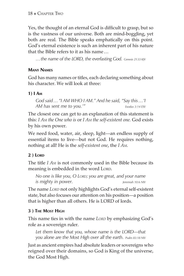Yes, the thought of an eternal God is difficult to grasp, but so is the vastness of our universe. Both are mind-boggling, yet both are real. The Bible speaks emphatically on this point. God's eternal existence is such an inherent part of his nature that the Bible refers to it as his name…

*…the name of the LORD, the everlasting God. Genesis 21:33 KJV*

### Many Names

God has many names or titles, each declaring something about his character. We will look at three:

### 1) I Am

*God said…"I AM WHO I AM." And he said, "Say this…'I AM has sent me to you.'" Exodus 3:14 ESV*

The closest one can get to an explanation of this statement is this: *I Am the One who is* or *I Am the self-existent one.* God exists by his own power.

We need food, water, air, sleep, light—an endless supply of essential items to live—but not God. He requires nothing, nothing at all! He is the *self-existent one*, the *I Am.*

### 2) LORD

The title *I Am* is not commonly used in the Bible because its meaning is embedded in the word LORD.

*No one is like you, O Lordalda vou are great, and your name is mighty in power. Jeremiah 10:6 NIV*

The name *Lord* not only highlights God's eternal self-existent state, but also focuses our attention on his position—a position that is higher than all others. He is LORD of lords.

### 3 ) The Most High

This name ties in with the name *LORD* by emphasizing God's role as a sovereign ruler.

*Let them know that you, whose name is the LORD—that you alone are the Most High over all the earth. Psalm 83:18 NIV*

Just as ancient empires had absolute leaders or sovereigns who reigned over their domains, so God is King of the universe, the God Most High.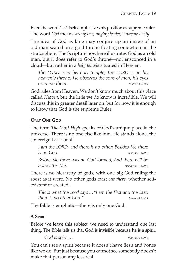Even the word *God* itself emphasizes his position as supreme ruler. The word *God* means *strong one, mighty leader, supreme Deity.*

The idea of God as king may conjure up an image of an old man seated on a gold throne floating somewhere in the stratosphere. The Scripture nowhere illustrates God as an old man, but it does refer to God's throne—not ensconced in a cloud—but rather in a *holy temple* situated in Heaven.

*The LORD is in his holy temple; the LORD is on his heavenly throne. He observes the sons of men; his eyes examine them. Psalm 11:4 NIV*

God rules from Heaven. We don't know much about this place called *Heaven*, but the little we do know is incredible. We will discuss this in greater detail later on, but for now it is enough to know that God is the supreme Ruler.

### ONLY ONE GOD

The term *The Most High* speaks of God's unique place in the universe. There is no one else like him. He stands alone, the sovereign Lorp of all.

*I am the LORD, and there is no other; Besides Me there is no God. Isaiah 45:5 NASB*

*Before Me there was no God formed, And there will be none after Me. Isaiah 43:10 NASB*

There is no hierarchy of gods, with one big God ruling the roost as it were. No other gods exist *out there,* whether selfexistent or created.

*This is what the Lord says…"I am the First and the Last; there is no other God." Isaiah 44:6 NLT*

The Bible is emphatic—there is only one God.

### **A SPIRIT**

Before we leave this subject, we need to understand one last thing. The Bible tells us that God is invisible because he is a spirit.

*God is spirit… John 4:24 NASB*

You can't see a spirit because it doesn't have flesh and bones like we do. But just because you cannot see somebody doesn't make that person any less real.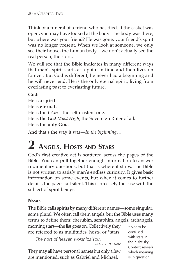Think of a funeral of a friend who has died. If the casket was open, you may have looked at the body. The body was there, but where was your friend? He was gone; your friend's spirit was no longer present. When we look at someone, we only see their house, the human body—we don't actually see the real person, the spirit.

We will see that the Bible indicates in many different ways that man's spirit starts at a point in time and then lives on forever. But God is different; he never had a beginning and he will never end. He is the only eternal spirit, living from everlasting past to everlasting future.

**God:**

He is a **spirit** He is **eternal.**  He is the *I Am*—the self-existent one. He is **the** *God Most High*, the Sovereign Ruler of all. He is the **only God**.

And that's the way it was—*In the beginning…*

## **2 Angels, Hosts and Stars**

God's first creative act is scattered across the pages of the Bible. You can pull together enough information to answer rudimentary questions, but that is where it stops. The Bible is not written to satisfy man's endless curiosity. It gives basic information on some events, but when it comes to further details, the pages fall silent. This is precisely the case with the subject of spirit beings.

### **NAMES**

The Bible calls spirits by many different names—some singular, some plural. We often call them angels, but the Bible uses many terms to define them: cherubim, seraphim, angels, archangels,

morning stars—the list goes on. Collectively they are referred to as multitudes, hosts, or \*stars.

*The host of heaven worships You.*

*Nehemiah 9:6 NKJV*

They may all have personal names but only a few are mentioned, such as Gabriel and Michael.

\*Not to be confused with stars in the night sky. Context reveals which meaning is in question.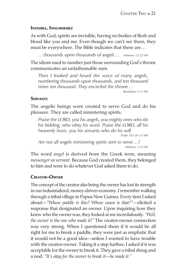#### Invisible, Innumerable

As with God, spirits are invisible, having no bodies of flesh and blood like you and me. Even though we can't see them, they must be everywhere. The Bible indicates that there are…

*…thousands upon thousands of angels… Hebrews 12:22 NIV*

The idiom used to number just those surrounding God's throne communicates an unfathomable sum.

*Then I looked and heard the voice of many angels, numbering thousands upon thousands, and ten thousand*  times ten thousand. They encircled the throne…<br><sup>Revelation 5:11 NIV</sub></sup>

#### **SERVANTS**

The angelic beings were created to serve God and do his pleasure. They are called ministering spirits.

*Praise the LORD, you his angels, you mighty ones who do his bidding, who obey his word. Praise the LORD, all his heavenly hosts, you his servants who do his will. Psalm 103:20–21 NIV*

*Are not all angels ministering spirits sent to serve…? Hebrews 1:14 NIV*

The word *angel* is derived from the Greek term, meaning *messenger* or *servant.* Because God created them, they belonged to him and were to do whatever God asked them to do.

### Creator–Owner

The concept of the creator also being the owner has lost its strength in our industrialized, money-driven economy. I remember walking through a tribal village in Papua New Guinea. Every item I asked about—*"Whose paddle is this? Whose canoe is that?"*—elicited a response that designated an owner. Upon inquiring how they knew who the owner was, they looked at me incredulously. *"Well, the owner is the one who made it!"* The creator-owner connection was very strong. When I questioned them if it would be all right for me to break a paddle, they were just as emphatic that it would not be a good idea—unless I wanted to have trouble with the creator-owner. Taking it a step further, I asked if it was acceptable for the owner to break it. They gave a tribal shrug and a nod*: "It's okay for the owner to break it—he made it."*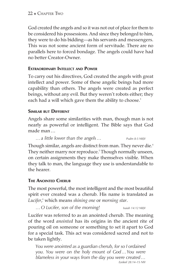God created the angels and so it was not out of place for them to be considered his possessions. And since they belonged to him, they were to do his bidding—as his servants and messengers. This was not some ancient form of servitude. There are no parallels here to forced bondage. The angels could have had no better Creator-Owner.

### Extraordinary Intellect and Power

To carry out his directives, God created the angels with great intellect and power. Some of these angelic beings had more capability than others. The angels were created as perfect beings, without any evil. But they weren't robots either; they each had a will which gave them the ability to choose.<sup>3</sup>

### SIMILAR RUT DIFFERENT

Angels share some similarities with man, though man is not nearly as powerful or intelligent. The Bible says that God made man…

*…a little lower than the angels… Psalm 8:5 NKJV*

Though similar, angels are distinct from man. They never die.<sup>4</sup> They neither marry nor reproduce.<sup>5</sup> Though normally unseen, on certain assignments they make themselves visible. When they talk to man, the language they use is understandable to the hearer.

### **THE ANOINTED CHERUB**

The most powerful, the most intelligent and the most beautiful spirit ever created was a cherub. His name is translated as *Lucifer*, 6 which means *shining one* or *morning star*.

... O Lucifer, son of the morning! Isaiah 14:12 NKJV

Lucifer was referred to as an anointed cherub. The meaning of the word *anointed* has its origins in the ancient rite of pouring oil on someone or something to set it apart to God for a special task. This act was considered sacred and not to be taken lightly.

*You were anointed as a guardian cherub, for so I ordained you. You were on the holy mount of God…You were blameless in your ways from the day you were created… Ezekiel 28:14–15 NIV*